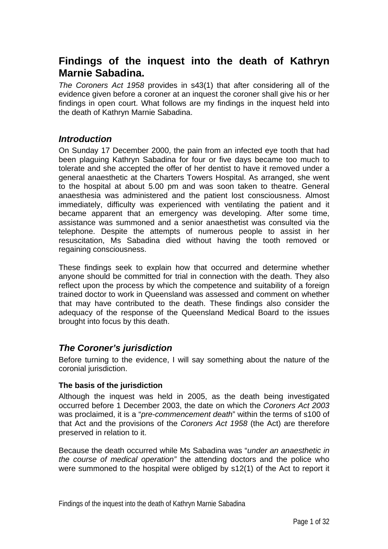# **Findings of the inquest into the death of Kathryn Marnie Sabadina.**

*The Coroners Act 1958* provides in s43(1) that after considering all of the evidence given before a coroner at an inquest the coroner shall give his or her findings in open court. What follows are my findings in the inquest held into the death of Kathryn Marnie Sabadina.

## *Introduction*

On Sunday 17 December 2000, the pain from an infected eye tooth that had been plaguing Kathryn Sabadina for four or five days became too much to tolerate and she accepted the offer of her dentist to have it removed under a general anaesthetic at the Charters Towers Hospital. As arranged, she went to the hospital at about 5.00 pm and was soon taken to theatre. General anaesthesia was administered and the patient lost consciousness. Almost immediately, difficulty was experienced with ventilating the patient and it became apparent that an emergency was developing. After some time, assistance was summoned and a senior anaesthetist was consulted via the telephone. Despite the attempts of numerous people to assist in her resuscitation, Ms Sabadina died without having the tooth removed or regaining consciousness.

These findings seek to explain how that occurred and determine whether anyone should be committed for trial in connection with the death. They also reflect upon the process by which the competence and suitability of a foreign trained doctor to work in Queensland was assessed and comment on whether that may have contributed to the death. These findings also consider the adequacy of the response of the Queensland Medical Board to the issues brought into focus by this death.

## *The Coroner's jurisdiction*

Before turning to the evidence, I will say something about the nature of the coronial jurisdiction.

#### **The basis of the jurisdiction**

Although the inquest was held in 2005, as the death being investigated occurred before 1 December 2003, the date on which the *Coroners Act 2003* was proclaimed, it is a "*pre-commencement death*" within the terms of s100 of that Act and the provisions of the *Coroners Act 1958* (the Act) are therefore preserved in relation to it.

Because the death occurred while Ms Sabadina was "*under an anaesthetic in the course of medical operation"* the attending doctors and the police who were summoned to the hospital were obliged by s12(1) of the Act to report it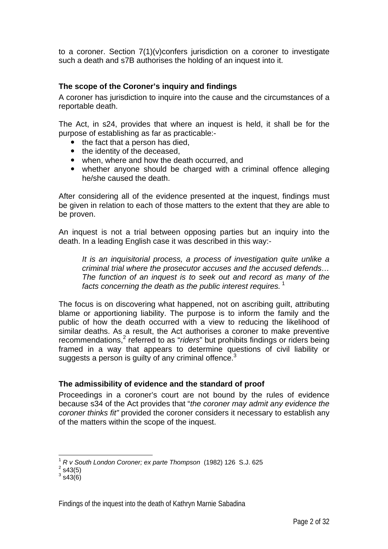to a coroner. Section 7(1)(v)confers jurisdiction on a coroner to investigate such a death and s7B authorises the holding of an inquest into it.

#### **The scope of the Coroner's inquiry and findings**

A coroner has jurisdiction to inquire into the cause and the circumstances of a reportable death.

The Act, in s24, provides that where an inquest is held, it shall be for the purpose of establishing as far as practicable:-

- $\bullet$  the fact that a person has died.
- $\bullet$  the identity of the deceased,
- when, where and how the death occurred, and
- whether anyone should be charged with a criminal offence alleging he/she caused the death.

After considering all of the evidence presented at the inquest, findings must be given in relation to each of those matters to the extent that they are able to be proven.

An inquest is not a trial between opposing parties but an inquiry into the death. In a leading English case it was described in this way:-

*It is an inquisitorial process, a process of investigation quite unlike a criminal trial where the prosecutor accuses and the accused defends… The function of an inquest is to seek out and record as many of the facts concerning the death as the public interest requires.*<sup>1</sup>

The focus is on discovering what happened, not on ascribing guilt, attributing blame or apportioning liability. The purpose is to inform the family and the public of how the death occurred with a view to reducing the likelihood of similar deaths. As a result, the Act authorises a coroner to make preventive recommendations,<sup>2</sup> referred to as "*riders*" but prohibits findings or riders being framed in a way that appears to determine questions of civil liability or suggests a person is guilty of any criminal offence. $3$ 

#### **The admissibility of evidence and the standard of proof**

Proceedings in a coroner's court are not bound by the rules of evidence because s34 of the Act provides that "*the coroner may admit any evidence the coroner thinks fit"* provided the coroner considers it necessary to establish any of the matters within the scope of the inquest.

 $\overline{a}$ 

<sup>1</sup> *R v South London Coroner; ex parte Thompson* (1982) 126 S.J. 625 2

 $2$  s43(5)

 $3$  s43(6)

Findings of the inquest into the death of Kathryn Marnie Sabadina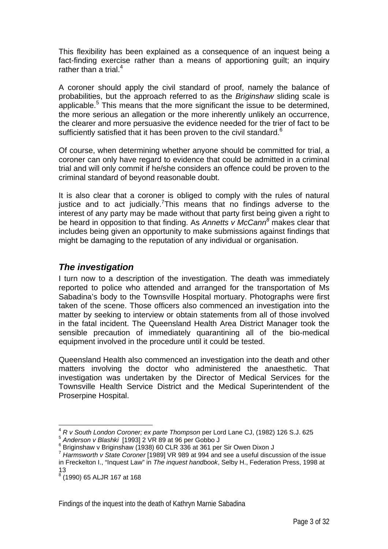This flexibility has been explained as a consequence of an inquest being a fact-finding exercise rather than a means of apportioning guilt; an inquiry rather than a trial. $4$ 

A coroner should apply the civil standard of proof, namely the balance of probabilities, but the approach referred to as the *Briginshaw* sliding scale is applicable.<sup>5</sup> This means that the more significant the issue to be determined, the more serious an allegation or the more inherently unlikely an occurrence, the clearer and more persuasive the evidence needed for the trier of fact to be sufficiently satisfied that it has been proven to the civil standard.<sup>6</sup>

Of course, when determining whether anyone should be committed for trial, a coroner can only have regard to evidence that could be admitted in a criminal trial and will only commit if he/she considers an offence could be proven to the criminal standard of beyond reasonable doubt.

It is also clear that a coroner is obliged to comply with the rules of natural justice and to act judicially. This means that no findings adverse to the interest of any party may be made without that party first being given a right to be heard in opposition to that finding. As *Annetts v McCann<sup>8</sup>* makes clear that includes being given an opportunity to make submissions against findings that might be damaging to the reputation of any individual or organisation.

### *The investigation*

I turn now to a description of the investigation. The death was immediately reported to police who attended and arranged for the transportation of Ms Sabadina's body to the Townsville Hospital mortuary. Photographs were first taken of the scene. Those officers also commenced an investigation into the matter by seeking to interview or obtain statements from all of those involved in the fatal incident. The Queensland Health Area District Manager took the sensible precaution of immediately quarantining all of the bio-medical equipment involved in the procedure until it could be tested.

Queensland Health also commenced an investigation into the death and other matters involving the doctor who administered the anaesthetic. That investigation was undertaken by the Director of Medical Services for the Townsville Health Service District and the Medical Superintendent of the Proserpine Hospital.

 $\overline{a}$ 

<sup>4</sup> *R v South London Coroner; ex parte Thompson* per Lord Lane CJ, (1982) 126 S.J. 625

<sup>5</sup> *Anderson v Blashki* [1993] 2 VR 89 at 96 per Gobbo J 6

Briginshaw v Briginshaw (1938) 60 CLR 336 at 361 per Sir Owen Dixon J

<sup>7</sup> *Harmsworth v State Coroner* [1989] VR 989 at 994 and see a useful discussion of the issue in Freckelton I., "Inquest Law" in *The inquest handbook*, Selby H., Federation Press, 1998 at 13

<sup>8</sup> (1990) 65 ALJR 167 at 168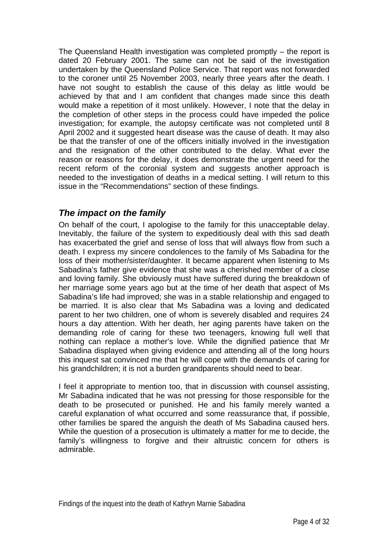The Queensland Health investigation was completed promptly – the report is dated 20 February 2001. The same can not be said of the investigation undertaken by the Queensland Police Service. That report was not forwarded to the coroner until 25 November 2003, nearly three years after the death. I have not sought to establish the cause of this delay as little would be achieved by that and I am confident that changes made since this death would make a repetition of it most unlikely. However, I note that the delay in the completion of other steps in the process could have impeded the police investigation; for example, the autopsy certificate was not completed until 8 April 2002 and it suggested heart disease was the cause of death. It may also be that the transfer of one of the officers initially involved in the investigation and the resignation of the other contributed to the delay. What ever the reason or reasons for the delay, it does demonstrate the urgent need for the recent reform of the coronial system and suggests another approach is needed to the investigation of deaths in a medical setting. I will return to this issue in the "Recommendations" section of these findings.

## *The impact on the family*

On behalf of the court, I apologise to the family for this unacceptable delay. Inevitably, the failure of the system to expeditiously deal with this sad death has exacerbated the grief and sense of loss that will always flow from such a death. I express my sincere condolences to the family of Ms Sabadina for the loss of their mother/sister/daughter. It became apparent when listening to Ms Sabadina's father give evidence that she was a cherished member of a close and loving family. She obviously must have suffered during the breakdown of her marriage some years ago but at the time of her death that aspect of Ms Sabadina's life had improved; she was in a stable relationship and engaged to be married. It is also clear that Ms Sabadina was a loving and dedicated parent to her two children, one of whom is severely disabled and requires 24 hours a day attention. With her death, her aging parents have taken on the demanding role of caring for these two teenagers, knowing full well that nothing can replace a mother's love. While the dignified patience that Mr Sabadina displayed when giving evidence and attending all of the long hours this inquest sat convinced me that he will cope with the demands of caring for his grandchildren; it is not a burden grandparents should need to bear.

I feel it appropriate to mention too, that in discussion with counsel assisting, Mr Sabadina indicated that he was not pressing for those responsible for the death to be prosecuted or punished. He and his family merely wanted a careful explanation of what occurred and some reassurance that, if possible, other families be spared the anguish the death of Ms Sabadina caused hers. While the question of a prosecution is ultimately a matter for me to decide, the family's willingness to forgive and their altruistic concern for others is admirable.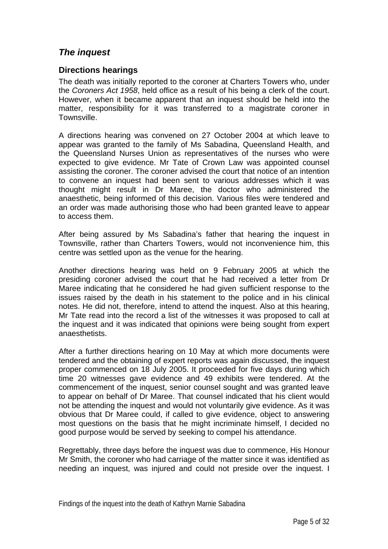## *The inquest*

#### **Directions hearings**

The death was initially reported to the coroner at Charters Towers who, under the *Coroners Act 1958*, held office as a result of his being a clerk of the court. However, when it became apparent that an inquest should be held into the matter, responsibility for it was transferred to a magistrate coroner in Townsville.

A directions hearing was convened on 27 October 2004 at which leave to appear was granted to the family of Ms Sabadina, Queensland Health, and the Queensland Nurses Union as representatives of the nurses who were expected to give evidence. Mr Tate of Crown Law was appointed counsel assisting the coroner. The coroner advised the court that notice of an intention to convene an inquest had been sent to various addresses which it was thought might result in Dr Maree, the doctor who administered the anaesthetic, being informed of this decision. Various files were tendered and an order was made authorising those who had been granted leave to appear to access them.

After being assured by Ms Sabadina's father that hearing the inquest in Townsville, rather than Charters Towers, would not inconvenience him, this centre was settled upon as the venue for the hearing.

Another directions hearing was held on 9 February 2005 at which the presiding coroner advised the court that he had received a letter from Dr Maree indicating that he considered he had given sufficient response to the issues raised by the death in his statement to the police and in his clinical notes. He did not, therefore, intend to attend the inquest. Also at this hearing, Mr Tate read into the record a list of the witnesses it was proposed to call at the inquest and it was indicated that opinions were being sought from expert anaesthetists.

After a further directions hearing on 10 May at which more documents were tendered and the obtaining of expert reports was again discussed, the inquest proper commenced on 18 July 2005. It proceeded for five days during which time 20 witnesses gave evidence and 49 exhibits were tendered. At the commencement of the inquest, senior counsel sought and was granted leave to appear on behalf of Dr Maree. That counsel indicated that his client would not be attending the inquest and would not voluntarily give evidence. As it was obvious that Dr Maree could, if called to give evidence, object to answering most questions on the basis that he might incriminate himself, I decided no good purpose would be served by seeking to compel his attendance.

Regrettably, three days before the inquest was due to commence, His Honour Mr Smith, the coroner who had carriage of the matter since it was identified as needing an inquest, was injured and could not preside over the inquest. I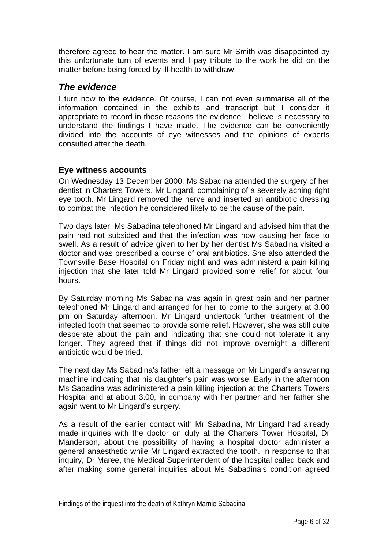therefore agreed to hear the matter. I am sure Mr Smith was disappointed by this unfortunate turn of events and I pay tribute to the work he did on the matter before being forced by ill-health to withdraw.

## *The evidence*

I turn now to the evidence. Of course, I can not even summarise all of the information contained in the exhibits and transcript but I consider it appropriate to record in these reasons the evidence I believe is necessary to understand the findings I have made. The evidence can be conveniently divided into the accounts of eye witnesses and the opinions of experts consulted after the death.

### **Eye witness accounts**

On Wednesday 13 December 2000, Ms Sabadina attended the surgery of her dentist in Charters Towers, Mr Lingard, complaining of a severely aching right eye tooth. Mr Lingard removed the nerve and inserted an antibiotic dressing to combat the infection he considered likely to be the cause of the pain.

Two days later, Ms Sabadina telephoned Mr Lingard and advised him that the pain had not subsided and that the infection was now causing her face to swell. As a result of advice given to her by her dentist Ms Sabadina visited a doctor and was prescribed a course of oral antibiotics. She also attended the Townsville Base Hospital on Friday night and was administerd a pain killing injection that she later told Mr Lingard provided some relief for about four hours.

By Saturday morning Ms Sabadina was again in great pain and her partner telephoned Mr Lingard and arranged for her to come to the surgery at 3.00 pm on Saturday afternoon. Mr Lingard undertook further treatment of the infected tooth that seemed to provide some relief. However, she was still quite desperate about the pain and indicating that she could not tolerate it any longer. They agreed that if things did not improve overnight a different antibiotic would be tried.

The next day Ms Sabadina's father left a message on Mr Lingard's answering machine indicating that his daughter's pain was worse. Early in the afternoon Ms Sabadina was administered a pain killing injection at the Charters Towers Hospital and at about 3.00, in company with her partner and her father she again went to Mr Lingard's surgery.

As a result of the earlier contact with Mr Sabadina, Mr Lingard had already made inquiries with the doctor on duty at the Charters Tower Hospital, Dr Manderson, about the possibility of having a hospital doctor administer a general anaesthetic while Mr Lingard extracted the tooth. In response to that inquiry, Dr Maree, the Medical Superintendent of the hospital called back and after making some general inquiries about Ms Sabadina's condition agreed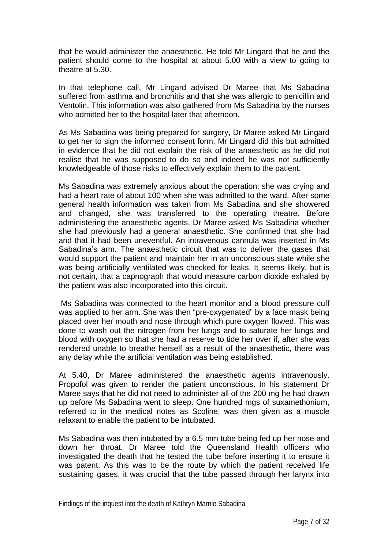that he would administer the anaesthetic. He told Mr Lingard that he and the patient should come to the hospital at about 5.00 with a view to going to theatre at 5.30.

In that telephone call, Mr Lingard advised Dr Maree that Ms Sabadina suffered from asthma and bronchitis and that she was allergic to penicillin and Ventolin. This information was also gathered from Ms Sabadina by the nurses who admitted her to the hospital later that afternoon.

As Ms Sabadina was being prepared for surgery, Dr Maree asked Mr Lingard to get her to sign the informed consent form. Mr Lingard did this but admitted in evidence that he did not explain the risk of the anaesthetic as he did not realise that he was supposed to do so and indeed he was not sufficiently knowledgeable of those risks to effectively explain them to the patient.

Ms Sabadina was extremely anxious about the operation; she was crying and had a heart rate of about 100 when she was admitted to the ward. After some general health information was taken from Ms Sabadina and she showered and changed, she was transferred to the operating theatre. Before administering the anaesthetic agents, Dr Maree asked Ms Sabadina whether she had previously had a general anaesthetic. She confirmed that she had and that it had been uneventful. An intravenous cannula was inserted in Ms Sabadina's arm. The anaesthetic circuit that was to deliver the gases that would support the patient and maintain her in an unconscious state while she was being artificially ventilated was checked for leaks. It seems likely, but is not certain, that a capnograph that would measure carbon dioxide exhaled by the patient was also incorporated into this circuit.

 Ms Sabadina was connected to the heart monitor and a blood pressure cuff was applied to her arm. She was then "pre-oxygenated" by a face mask being placed over her mouth and nose through which pure oxygen flowed. This was done to wash out the nitrogen from her lungs and to saturate her lungs and blood with oxygen so that she had a reserve to tide her over if, after she was rendered unable to breathe herself as a result of the anaesthetic, there was any delay while the artificial ventilation was being established.

At 5.40, Dr Maree administered the anaesthetic agents intravenously. Propofol was given to render the patient unconscious. In his statement Dr Maree says that he did not need to administer all of the 200 mg he had drawn up before Ms Sabadina went to sleep. One hundred mgs of suxamethonium, referred to in the medical notes as Scoline, was then given as a muscle relaxant to enable the patient to be intubated.

Ms Sabadina was then intubated by a 6.5 mm tube being fed up her nose and down her throat. Dr Maree told the Queensland Health officers who investigated the death that he tested the tube before inserting it to ensure it was patent. As this was to be the route by which the patient received life sustaining gases, it was crucial that the tube passed through her larynx into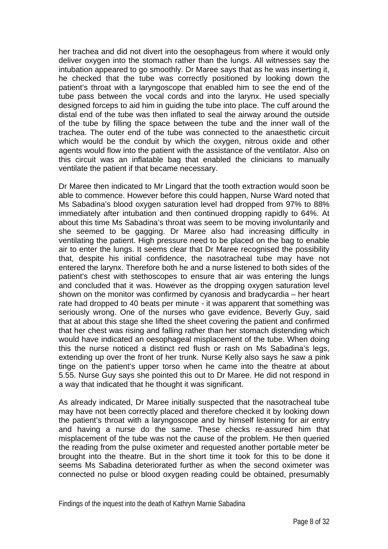her trachea and did not divert into the oesophageus from where it would only deliver oxygen into the stomach rather than the lungs. All witnesses say the intubation appeared to go smoothly. Dr Maree says that as he was inserting it, he checked that the tube was correctly positioned by looking down the patient's throat with a laryngoscope that enabled him to see the end of the tube pass between the vocal cords and into the larynx. He used specially designed forceps to aid him in guiding the tube into place. The cuff around the distal end of the tube was then inflated to seal the airway around the outside of the tube by filling the space between the tube and the inner wall of the trachea. The outer end of the tube was connected to the anaesthetic circuit which would be the conduit by which the oxygen, nitrous oxide and other agents would flow into the patient with the assistance of the ventilator. Also on this circuit was an inflatable bag that enabled the clinicians to manually ventilate the patient if that became necessary.

Dr Maree then indicated to Mr Lingard that the tooth extraction would soon be able to commence. However before this could happen, Nurse Ward noted that Ms Sabadina's blood oxygen saturation level had dropped from 97% to 88% immediately after intubation and then continued dropping rapidly to 64%. At about this time Ms Sabadina's throat was seem to be moving involuntarily and she seemed to be gagging. Dr Maree also had increasing difficulty in ventilating the patient. High pressure need to be placed on the bag to enable air to enter the lungs. It seems clear that Dr Maree recognised the possibility that, despite his initial confidence, the nasotracheal tube may have not entered the larynx. Therefore both he and a nurse listened to both sides of the patient's chest with stethoscopes to ensure that air was entering the lungs and concluded that it was. However as the dropping oxygen saturation level shown on the monitor was confirmed by cyanosis and bradycardia – her heart rate had dropped to 40 beats per minute - it was apparent that something was seriously wrong. One of the nurses who gave evidence, Beverly Guy, said that at about this stage she lifted the sheet covering the patient and confirmed that her chest was rising and falling rather than her stomach distending which would have indicated an oesophageal misplacement of the tube. When doing this the nurse noticed a distinct red flush or rash on Ms Sabadina's legs, extending up over the front of her trunk. Nurse Kelly also says he saw a pink tinge on the patient's upper torso when he came into the theatre at about 5.55. Nurse Guy says she pointed this out to Dr Maree. He did not respond in a way that indicated that he thought it was significant.

As already indicated, Dr Maree initially suspected that the nasotracheal tube may have not been correctly placed and therefore checked it by looking down the patient's throat with a laryngoscope and by himself listening for air entry and having a nurse do the same. These checks re-assured him that misplacement of the tube was not the cause of the problem. He then queried the reading from the pulse oximeter and requested another portable meter be brought into the theatre. But in the short time it took for this to be done it seems Ms Sabadina deteriorated further as when the second oximeter was connected no pulse or blood oxygen reading could be obtained, presumably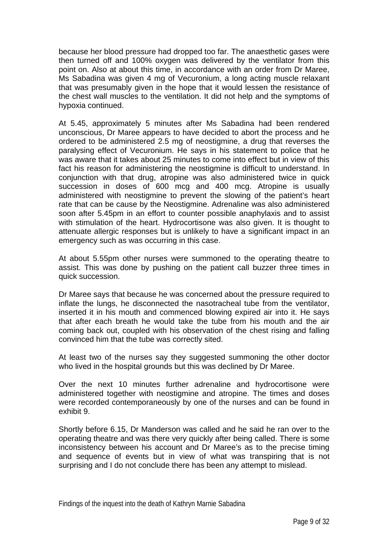because her blood pressure had dropped too far. The anaesthetic gases were then turned off and 100% oxygen was delivered by the ventilator from this point on. Also at about this time, in accordance with an order from Dr Maree, Ms Sabadina was given 4 mg of Vecuronium, a long acting muscle relaxant that was presumably given in the hope that it would lessen the resistance of the chest wall muscles to the ventilation. It did not help and the symptoms of hypoxia continued.

At 5.45, approximately 5 minutes after Ms Sabadina had been rendered unconscious, Dr Maree appears to have decided to abort the process and he ordered to be administered 2.5 mg of neostigmine, a drug that reverses the paralysing effect of Vecuronium. He says in his statement to police that he was aware that it takes about 25 minutes to come into effect but in view of this fact his reason for administering the neostigmine is difficult to understand. In conjunction with that drug, atropine was also administered twice in quick succession in doses of 600 mcg and 400 mcg. Atropine is usually administered with neostigmine to prevent the slowing of the patient's heart rate that can be cause by the Neostigmine. Adrenaline was also administered soon after 5.45pm in an effort to counter possible anaphylaxis and to assist with stimulation of the heart. Hydrocortisone was also given. It is thought to attenuate allergic responses but is unlikely to have a significant impact in an emergency such as was occurring in this case.

At about 5.55pm other nurses were summoned to the operating theatre to assist. This was done by pushing on the patient call buzzer three times in quick succession.

Dr Maree says that because he was concerned about the pressure required to inflate the lungs, he disconnected the nasotracheal tube from the ventilator, inserted it in his mouth and commenced blowing expired air into it. He says that after each breath he would take the tube from his mouth and the air coming back out, coupled with his observation of the chest rising and falling convinced him that the tube was correctly sited.

At least two of the nurses say they suggested summoning the other doctor who lived in the hospital grounds but this was declined by Dr Maree.

Over the next 10 minutes further adrenaline and hydrocortisone were administered together with neostigmine and atropine. The times and doses were recorded contemporaneously by one of the nurses and can be found in exhibit 9.

Shortly before 6.15, Dr Manderson was called and he said he ran over to the operating theatre and was there very quickly after being called. There is some inconsistency between his account and Dr Maree's as to the precise timing and sequence of events but in view of what was transpiring that is not surprising and I do not conclude there has been any attempt to mislead.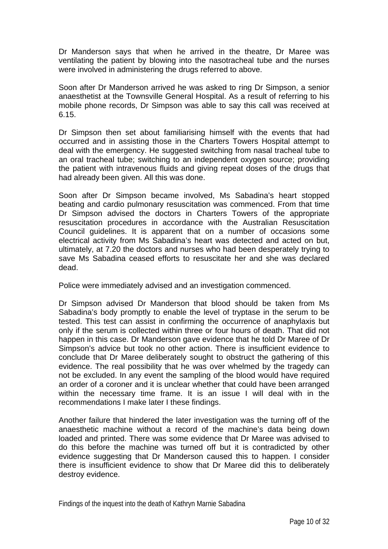Dr Manderson says that when he arrived in the theatre, Dr Maree was ventilating the patient by blowing into the nasotracheal tube and the nurses were involved in administering the drugs referred to above.

Soon after Dr Manderson arrived he was asked to ring Dr Simpson, a senior anaesthetist at the Townsville General Hospital. As a result of referring to his mobile phone records, Dr Simpson was able to say this call was received at 6.15.

Dr Simpson then set about familiarising himself with the events that had occurred and in assisting those in the Charters Towers Hospital attempt to deal with the emergency. He suggested switching from nasal tracheal tube to an oral tracheal tube; switching to an independent oxygen source; providing the patient with intravenous fluids and giving repeat doses of the drugs that had already been given. All this was done.

Soon after Dr Simpson became involved, Ms Sabadina's heart stopped beating and cardio pulmonary resuscitation was commenced. From that time Dr Simpson advised the doctors in Charters Towers of the appropriate resuscitation procedures in accordance with the Australian Resuscitation Council guidelines. It is apparent that on a number of occasions some electrical activity from Ms Sabadina's heart was detected and acted on but, ultimately, at 7.20 the doctors and nurses who had been desperately trying to save Ms Sabadina ceased efforts to resuscitate her and she was declared dead.

Police were immediately advised and an investigation commenced.

Dr Simpson advised Dr Manderson that blood should be taken from Ms Sabadina's body promptly to enable the level of tryptase in the serum to be tested. This test can assist in confirming the occurrence of anaphylaxis but only if the serum is collected within three or four hours of death. That did not happen in this case. Dr Manderson gave evidence that he told Dr Maree of Dr Simpson's advice but took no other action. There is insufficient evidence to conclude that Dr Maree deliberately sought to obstruct the gathering of this evidence. The real possibility that he was over whelmed by the tragedy can not be excluded. In any event the sampling of the blood would have required an order of a coroner and it is unclear whether that could have been arranged within the necessary time frame. It is an issue I will deal with in the recommendations I make later I these findings.

Another failure that hindered the later investigation was the turning off of the anaesthetic machine without a record of the machine's data being down loaded and printed. There was some evidence that Dr Maree was advised to do this before the machine was turned off but it is contradicted by other evidence suggesting that Dr Manderson caused this to happen. I consider there is insufficient evidence to show that Dr Maree did this to deliberately destroy evidence.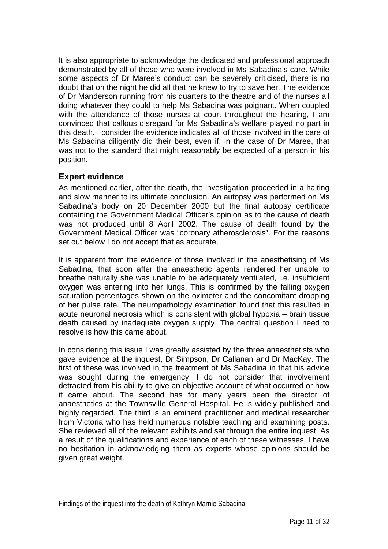It is also appropriate to acknowledge the dedicated and professional approach demonstrated by all of those who were involved in Ms Sabadina's care. While some aspects of Dr Maree's conduct can be severely criticised, there is no doubt that on the night he did all that he knew to try to save her. The evidence of Dr Manderson running from his quarters to the theatre and of the nurses all doing whatever they could to help Ms Sabadina was poignant. When coupled with the attendance of those nurses at court throughout the hearing, I am convinced that callous disregard for Ms Sabadina's welfare played no part in this death. I consider the evidence indicates all of those involved in the care of Ms Sabadina diligently did their best, even if, in the case of Dr Maree, that was not to the standard that might reasonably be expected of a person in his position.

### **Expert evidence**

As mentioned earlier, after the death, the investigation proceeded in a halting and slow manner to its ultimate conclusion. An autopsy was performed on Ms Sabadina's body on 20 December 2000 but the final autopsy certificate containing the Government Medical Officer's opinion as to the cause of death was not produced until 8 April 2002. The cause of death found by the Government Medical Officer was "coronary atherosclerosis". For the reasons set out below I do not accept that as accurate.

It is apparent from the evidence of those involved in the anesthetising of Ms Sabadina, that soon after the anaesthetic agents rendered her unable to breathe naturally she was unable to be adequately ventilated, i.e. insufficient oxygen was entering into her lungs. This is confirmed by the falling oxygen saturation percentages shown on the oximeter and the concomitant dropping of her pulse rate. The neuropathology examination found that this resulted in acute neuronal necrosis which is consistent with global hypoxia – brain tissue death caused by inadequate oxygen supply. The central question I need to resolve is how this came about.

In considering this issue I was greatly assisted by the three anaesthetists who gave evidence at the inquest, Dr Simpson, Dr Callanan and Dr MacKay. The first of these was involved in the treatment of Ms Sabadina in that his advice was sought during the emergency. I do not consider that involvement detracted from his ability to give an objective account of what occurred or how it came about. The second has for many years been the director of anaesthetics at the Townsville General Hospital. He is widely published and highly regarded. The third is an eminent practitioner and medical researcher from Victoria who has held numerous notable teaching and examining posts. She reviewed all of the relevant exhibits and sat through the entire inquest. As a result of the qualifications and experience of each of these witnesses, I have no hesitation in acknowledging them as experts whose opinions should be given great weight.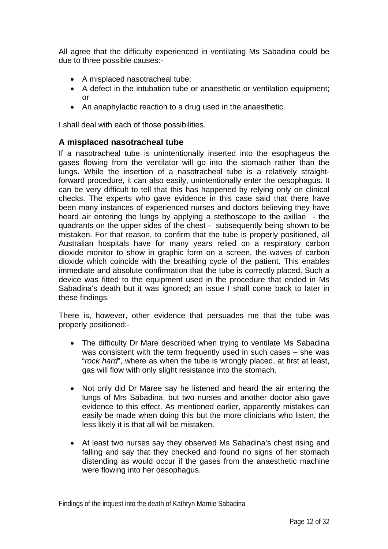All agree that the difficulty experienced in ventilating Ms Sabadina could be due to three possible causes:-

- A misplaced nasotracheal tube;
- A defect in the intubation tube or anaesthetic or ventilation equipment; or
- An anaphylactic reaction to a drug used in the anaesthetic.

I shall deal with each of those possibilities.

### **A misplaced nasotracheal tube**

If a nasotracheal tube is unintentionally inserted into the esophageus the gases flowing from the ventilator will go into the stomach rather than the lungs**.** While the insertion of a nasotracheal tube is a relatively straightforward procedure, it can also easily, unintentionally enter the oesophagus. It can be very difficult to tell that this has happened by relying only on clinical checks. The experts who gave evidence in this case said that there have been many instances of experienced nurses and doctors believing they have heard air entering the lungs by applying a stethoscope to the axillae - the quadrants on the upper sides of the chest - subsequently being shown to be mistaken. For that reason, to confirm that the tube is properly positioned, all Australian hospitals have for many years relied on a respiratory carbon dioxide monitor to show in graphic form on a screen, the waves of carbon dioxide which coincide with the breathing cycle of the patient. This enables immediate and absolute confirmation that the tube is correctly placed. Such a device was fitted to the equipment used in the procedure that ended in Ms Sabadina's death but it was ignored; an issue I shall come back to later in these findings.

There is, however, other evidence that persuades me that the tube was properly positioned:-

- The difficulty Dr Mare described when trying to ventilate Ms Sabadina was consistent with the term frequently used in such cases – she was "*rock hard*", where as when the tube is wrongly placed, at first at least, gas will flow with only slight resistance into the stomach.
- Not only did Dr Maree say he listened and heard the air entering the lungs of Mrs Sabadina, but two nurses and another doctor also gave evidence to this effect. As mentioned earlier, apparently mistakes can easily be made when doing this but the more clinicians who listen, the less likely it is that all will be mistaken.
- At least two nurses say they observed Ms Sabadina's chest rising and falling and say that they checked and found no signs of her stomach distending as would occur if the gases from the anaesthetic machine were flowing into her oesophagus.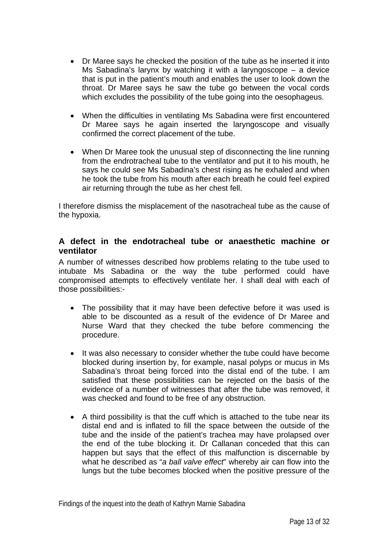- Dr Maree says he checked the position of the tube as he inserted it into Ms Sabadina's larynx by watching it with a laryngoscope – a device that is put in the patient's mouth and enables the user to look down the throat. Dr Maree says he saw the tube go between the vocal cords which excludes the possibility of the tube going into the oesophageus.
- When the difficulties in ventilating Ms Sabadina were first encountered Dr Maree says he again inserted the laryngoscope and visually confirmed the correct placement of the tube.
- When Dr Maree took the unusual step of disconnecting the line running from the endrotracheal tube to the ventilator and put it to his mouth, he says he could see Ms Sabadina's chest rising as he exhaled and when he took the tube from his mouth after each breath he could feel expired air returning through the tube as her chest fell.

I therefore dismiss the misplacement of the nasotracheal tube as the cause of the hypoxia.

#### **A defect in the endotracheal tube or anaesthetic machine or ventilator**

A number of witnesses described how problems relating to the tube used to intubate Ms Sabadina or the way the tube performed could have compromised attempts to effectively ventilate her. I shall deal with each of those possibilities:-

- The possibility that it may have been defective before it was used is able to be discounted as a result of the evidence of Dr Maree and Nurse Ward that they checked the tube before commencing the procedure.
- It was also necessary to consider whether the tube could have become blocked during insertion by, for example, nasal polyps or mucus in Ms Sabadina's throat being forced into the distal end of the tube. I am satisfied that these possibilities can be rejected on the basis of the evidence of a number of witnesses that after the tube was removed, it was checked and found to be free of any obstruction.
- A third possibility is that the cuff which is attached to the tube near its distal end and is inflated to fill the space between the outside of the tube and the inside of the patient's trachea may have prolapsed over the end of the tube blocking it. Dr Callanan conceded that this can happen but says that the effect of this malfunction is discernable by what he described as "*a ball valve effect*" whereby air can flow into the lungs but the tube becomes blocked when the positive pressure of the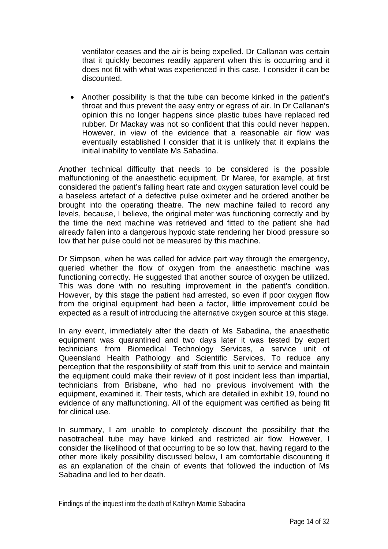ventilator ceases and the air is being expelled. Dr Callanan was certain that it quickly becomes readily apparent when this is occurring and it does not fit with what was experienced in this case. I consider it can be discounted.

• Another possibility is that the tube can become kinked in the patient's throat and thus prevent the easy entry or egress of air. In Dr Callanan's opinion this no longer happens since plastic tubes have replaced red rubber. Dr Mackay was not so confident that this could never happen. However, in view of the evidence that a reasonable air flow was eventually established I consider that it is unlikely that it explains the initial inability to ventilate Ms Sabadina.

Another technical difficulty that needs to be considered is the possible malfunctioning of the anaesthetic equipment. Dr Maree, for example, at first considered the patient's falling heart rate and oxygen saturation level could be a baseless artefact of a defective pulse oximeter and he ordered another be brought into the operating theatre. The new machine failed to record any levels, because, I believe, the original meter was functioning correctly and by the time the next machine was retrieved and fitted to the patient she had already fallen into a dangerous hypoxic state rendering her blood pressure so low that her pulse could not be measured by this machine.

Dr Simpson, when he was called for advice part way through the emergency, queried whether the flow of oxygen from the anaesthetic machine was functioning correctly. He suggested that another source of oxygen be utilized. This was done with no resulting improvement in the patient's condition. However, by this stage the patient had arrested, so even if poor oxygen flow from the original equipment had been a factor, little improvement could be expected as a result of introducing the alternative oxygen source at this stage.

In any event, immediately after the death of Ms Sabadina, the anaesthetic equipment was quarantined and two days later it was tested by expert technicians from Biomedical Technology Services, a service unit of Queensland Health Pathology and Scientific Services. To reduce any perception that the responsibility of staff from this unit to service and maintain the equipment could make their review of it post incident less than impartial, technicians from Brisbane, who had no previous involvement with the equipment, examined it. Their tests, which are detailed in exhibit 19, found no evidence of any malfunctioning. All of the equipment was certified as being fit for clinical use.

In summary, I am unable to completely discount the possibility that the nasotracheal tube may have kinked and restricted air flow. However, I consider the likelihood of that occurring to be so low that, having regard to the other more likely possibility discussed below, I am comfortable discounting it as an explanation of the chain of events that followed the induction of Ms Sabadina and led to her death.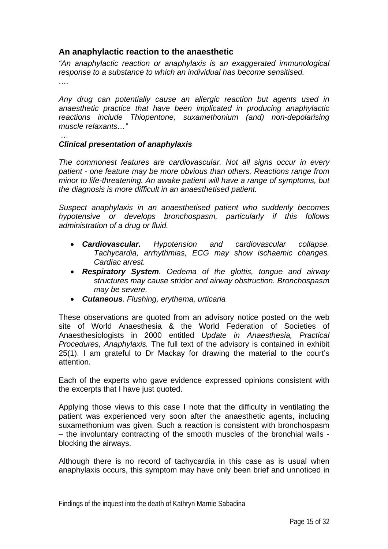### **An anaphylactic reaction to the anaesthetic**

*"An anaphylactic reaction or anaphylaxis is an exaggerated immunological response to a substance to which an individual has become sensitised. ….* 

*Any drug can potentially cause an allergic reaction but agents used in anaesthetic practice that have been implicated in producing anaphylactic reactions include Thiopentone, suxamethonium (and) non-depolarising muscle relaxants…"* 

#### *… Clinical presentation of anaphylaxis*

*The commonest features are cardiovascular. Not all signs occur in every patient - one feature may be more obvious than others. Reactions range from minor to life-threatening. An awake patient will have a range of symptoms, but the diagnosis is more difficult in an anaesthetised patient.* 

*Suspect anaphylaxis in an anaesthetised patient who suddenly becomes hypotensive or develops bronchospasm, particularly if this follows administration of a drug or fluid.* 

- *Cardiovascular. Hypotension and cardiovascular collapse. Tachycardia, arrhythmias, ECG may show ischaemic changes. Cardiac arrest.*
- *Respiratory System. Oedema of the glottis, tongue and airway structures may cause stridor and airway obstruction. Bronchospasm may be severe.*
- *Cutaneous. Flushing, erythema, urticaria*

These observations are quoted from an advisory notice posted on the web site of World Anaesthesia & the World Federation of Societies of Anaesthesiologists in 2000 entitled *Update in Anaesthesia, Practical Procedures, Anaphylaxis.* The full text of the advisory is contained in exhibit 25(1). I am grateful to Dr Mackay for drawing the material to the court's attention.

Each of the experts who gave evidence expressed opinions consistent with the excerpts that I have just quoted.

Applying those views to this case I note that the difficulty in ventilating the patient was experienced very soon after the anaesthetic agents, including suxamethonium was given. Such a reaction is consistent with bronchospasm – the involuntary contracting of the smooth muscles of the bronchial walls blocking the airways.

Although there is no record of tachycardia in this case as is usual when anaphylaxis occurs, this symptom may have only been brief and unnoticed in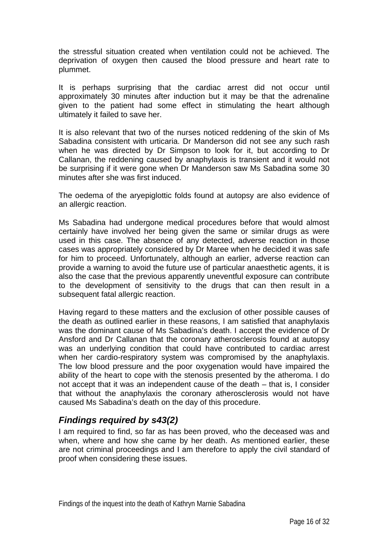the stressful situation created when ventilation could not be achieved. The deprivation of oxygen then caused the blood pressure and heart rate to plummet.

It is perhaps surprising that the cardiac arrest did not occur until approximately 30 minutes after induction but it may be that the adrenaline given to the patient had some effect in stimulating the heart although ultimately it failed to save her.

It is also relevant that two of the nurses noticed reddening of the skin of Ms Sabadina consistent with urticaria. Dr Manderson did not see any such rash when he was directed by Dr Simpson to look for it, but according to Dr Callanan, the reddening caused by anaphylaxis is transient and it would not be surprising if it were gone when Dr Manderson saw Ms Sabadina some 30 minutes after she was first induced.

The oedema of the aryepiglottic folds found at autopsy are also evidence of an allergic reaction.

Ms Sabadina had undergone medical procedures before that would almost certainly have involved her being given the same or similar drugs as were used in this case. The absence of any detected, adverse reaction in those cases was appropriately considered by Dr Maree when he decided it was safe for him to proceed. Unfortunately, although an earlier, adverse reaction can provide a warning to avoid the future use of particular anaesthetic agents, it is also the case that the previous apparently uneventful exposure can contribute to the development of sensitivity to the drugs that can then result in a subsequent fatal allergic reaction.

Having regard to these matters and the exclusion of other possible causes of the death as outlined earlier in these reasons, I am satisfied that anaphylaxis was the dominant cause of Ms Sabadina's death. I accept the evidence of Dr Ansford and Dr Callanan that the coronary atherosclerosis found at autopsy was an underlying condition that could have contributed to cardiac arrest when her cardio-respiratory system was compromised by the anaphylaxis. The low blood pressure and the poor oxygenation would have impaired the ability of the heart to cope with the stenosis presented by the atheroma. I do not accept that it was an independent cause of the death – that is, I consider that without the anaphylaxis the coronary atherosclerosis would not have caused Ms Sabadina's death on the day of this procedure.

## *Findings required by s43(2)*

I am required to find, so far as has been proved, who the deceased was and when, where and how she came by her death. As mentioned earlier, these are not criminal proceedings and I am therefore to apply the civil standard of proof when considering these issues.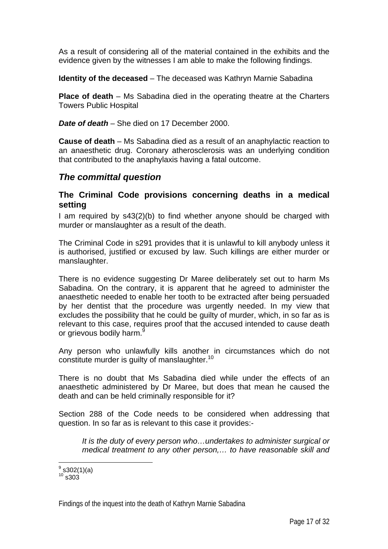As a result of considering all of the material contained in the exhibits and the evidence given by the witnesses I am able to make the following findings.

**Identity of the deceased** – The deceased was Kathryn Marnie Sabadina

**Place of death** – Ms Sabadina died in the operating theatre at the Charters Towers Public Hospital

*Date of death* – She died on 17 December 2000.

**Cause of death** – Ms Sabadina died as a result of an anaphylactic reaction to an anaesthetic drug. Coronary atherosclerosis was an underlying condition that contributed to the anaphylaxis having a fatal outcome.

### *The committal question*

#### **The Criminal Code provisions concerning deaths in a medical setting**

I am required by s43(2)(b) to find whether anyone should be charged with murder or manslaughter as a result of the death.

The Criminal Code in s291 provides that it is unlawful to kill anybody unless it is authorised, justified or excused by law. Such killings are either murder or manslaughter.

There is no evidence suggesting Dr Maree deliberately set out to harm Ms Sabadina. On the contrary, it is apparent that he agreed to administer the anaesthetic needed to enable her tooth to be extracted after being persuaded by her dentist that the procedure was urgently needed. In my view that excludes the possibility that he could be guilty of murder, which, in so far as is relevant to this case, requires proof that the accused intended to cause death or grievous bodily harm.<sup>9</sup>

Any person who unlawfully kills another in circumstances which do not constitute murder is quilty of manslaughter.<sup>10</sup>

There is no doubt that Ms Sabadina died while under the effects of an anaesthetic administered by Dr Maree, but does that mean he caused the death and can be held criminally responsible for it?

Section 288 of the Code needs to be considered when addressing that question. In so far as is relevant to this case it provides:-

*It is the duty of every person who…undertakes to administer surgical or medical treatment to any other person,… to have reasonable skill and* 

 $^9$  s302(1)(a)

 $10$  s 303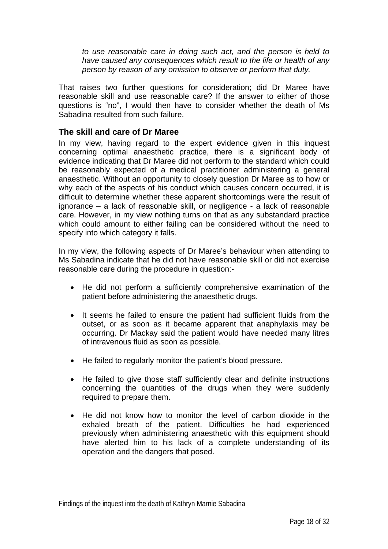*to use reasonable care in doing such act, and the person is held to have caused any consequences which result to the life or health of any person by reason of any omission to observe or perform that duty.* 

That raises two further questions for consideration; did Dr Maree have reasonable skill and use reasonable care? If the answer to either of those questions is "no", I would then have to consider whether the death of Ms Sabadina resulted from such failure.

### **The skill and care of Dr Maree**

In my view, having regard to the expert evidence given in this inquest concerning optimal anaesthetic practice, there is a significant body of evidence indicating that Dr Maree did not perform to the standard which could be reasonably expected of a medical practitioner administering a general anaesthetic. Without an opportunity to closely question Dr Maree as to how or why each of the aspects of his conduct which causes concern occurred, it is difficult to determine whether these apparent shortcomings were the result of ignorance – a lack of reasonable skill, or negligence - a lack of reasonable care. However, in my view nothing turns on that as any substandard practice which could amount to either failing can be considered without the need to specify into which category it falls.

In my view, the following aspects of Dr Maree's behaviour when attending to Ms Sabadina indicate that he did not have reasonable skill or did not exercise reasonable care during the procedure in question:-

- He did not perform a sufficiently comprehensive examination of the patient before administering the anaesthetic drugs.
- It seems he failed to ensure the patient had sufficient fluids from the outset, or as soon as it became apparent that anaphylaxis may be occurring. Dr Mackay said the patient would have needed many litres of intravenous fluid as soon as possible.
- He failed to regularly monitor the patient's blood pressure.
- He failed to give those staff sufficiently clear and definite instructions concerning the quantities of the drugs when they were suddenly required to prepare them.
- He did not know how to monitor the level of carbon dioxide in the exhaled breath of the patient. Difficulties he had experienced previously when administering anaesthetic with this equipment should have alerted him to his lack of a complete understanding of its operation and the dangers that posed.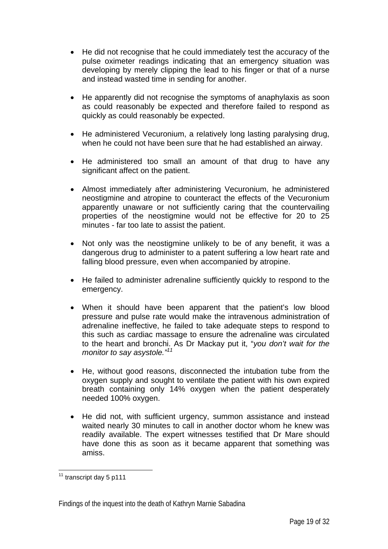- He did not recognise that he could immediately test the accuracy of the pulse oximeter readings indicating that an emergency situation was developing by merely clipping the lead to his finger or that of a nurse and instead wasted time in sending for another.
- He apparently did not recognise the symptoms of anaphylaxis as soon as could reasonably be expected and therefore failed to respond as quickly as could reasonably be expected.
- He administered Vecuronium, a relatively long lasting paralysing drug, when he could not have been sure that he had established an airway.
- He administered too small an amount of that drug to have any significant affect on the patient.
- Almost immediately after administering Vecuronium, he administered neostigmine and atropine to counteract the effects of the Vecuronium apparently unaware or not sufficiently caring that the countervailing properties of the neostigmine would not be effective for 20 to 25 minutes - far too late to assist the patient.
- Not only was the neostigmine unlikely to be of any benefit, it was a dangerous drug to administer to a patent suffering a low heart rate and falling blood pressure, even when accompanied by atropine.
- He failed to administer adrenaline sufficiently quickly to respond to the emergency.
- When it should have been apparent that the patient's low blood pressure and pulse rate would make the intravenous administration of adrenaline ineffective, he failed to take adequate steps to respond to this such as cardiac massage to ensure the adrenaline was circulated to the heart and bronchi. As Dr Mackay put it, "*you don't wait for the monitor to say asystole."11*
- He, without good reasons, disconnected the intubation tube from the oxygen supply and sought to ventilate the patient with his own expired breath containing only 14% oxygen when the patient desperately needed 100% oxygen.
- He did not, with sufficient urgency, summon assistance and instead waited nearly 30 minutes to call in another doctor whom he knew was readily available. The expert witnesses testified that Dr Mare should have done this as soon as it became apparent that something was amiss.

 $\overline{a}$ <sup>11</sup> transcript day 5 p111

Findings of the inquest into the death of Kathryn Marnie Sabadina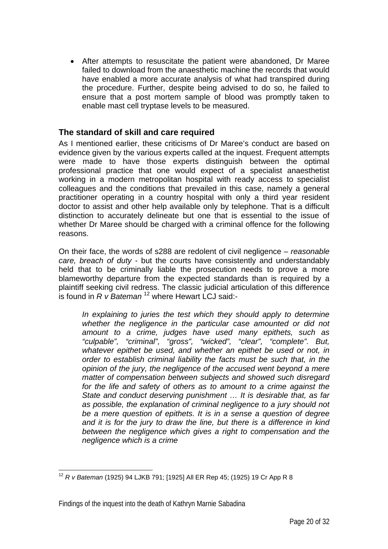• After attempts to resuscitate the patient were abandoned, Dr Maree failed to download from the anaesthetic machine the records that would have enabled a more accurate analysis of what had transpired during the procedure. Further, despite being advised to do so, he failed to ensure that a post mortem sample of blood was promptly taken to enable mast cell tryptase levels to be measured.

#### **The standard of skill and care required**

As I mentioned earlier, these criticisms of Dr Maree's conduct are based on evidence given by the various experts called at the inquest. Frequent attempts were made to have those experts distinguish between the optimal professional practice that one would expect of a specialist anaesthetist working in a modern metropolitan hospital with ready access to specialist colleagues and the conditions that prevailed in this case, namely a general practitioner operating in a country hospital with only a third year resident doctor to assist and other help available only by telephone. That is a difficult distinction to accurately delineate but one that is essential to the issue of whether Dr Maree should be charged with a criminal offence for the following reasons.

On their face, the words of s288 are redolent of civil negligence – *reasonable care, breach of duty* - but the courts have consistently and understandably held that to be criminally liable the prosecution needs to prove a more blameworthy departure from the expected standards than is required by a plaintiff seeking civil redress. The classic judicial articulation of this difference is found in *R v Bateman* 12 where Hewart LCJ said:-

*In explaining to juries the test which they should apply to determine whether the negligence in the particular case amounted or did not amount to a crime, judges have used many epithets, such as "culpable", "criminal", "gross", "wicked", "clear", "complete". But, whatever epithet be used, and whether an epithet be used or not, in order to establish criminal liability the facts must be such that, in the opinion of the jury, the negligence of the accused went beyond a mere matter of compensation between subjects and showed such disregard for the life and safety of others as to amount to a crime against the State and conduct deserving punishment … It is desirable that, as far as possible, the explanation of criminal negligence to a jury should not be a mere question of epithets. It is in a sense a question of degree and it is for the jury to draw the line, but there is a difference in kind between the negligence which gives a right to compensation and the negligence which is a crime* 

 $\overline{a}$ <sup>12</sup> *R v Bateman* (1925) 94 LJKB 791; [1925] All ER Rep 45; (1925) 19 Cr App R 8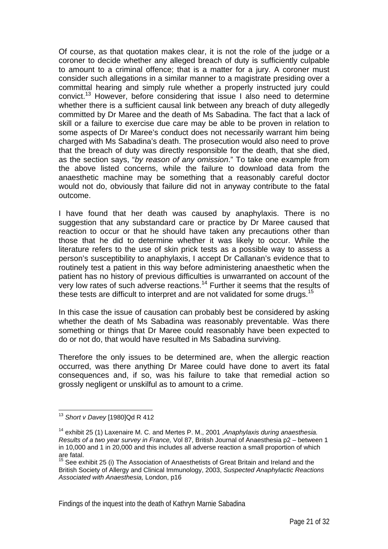Of course, as that quotation makes clear, it is not the role of the judge or a coroner to decide whether any alleged breach of duty is sufficiently culpable to amount to a criminal offence; that is a matter for a jury. A coroner must consider such allegations in a similar manner to a magistrate presiding over a committal hearing and simply rule whether a properly instructed jury could convict.13 However, before considering that issue I also need to determine whether there is a sufficient causal link between any breach of duty allegedly committed by Dr Maree and the death of Ms Sabadina. The fact that a lack of skill or a failure to exercise due care may be able to be proven in relation to some aspects of Dr Maree's conduct does not necessarily warrant him being charged with Ms Sabadina's death. The prosecution would also need to prove that the breach of duty was directly responsible for the death, that she died, as the section says, "*by reason of any omission*." To take one example from the above listed concerns, while the failure to download data from the anaesthetic machine may be something that a reasonably careful doctor would not do, obviously that failure did not in anyway contribute to the fatal outcome.

I have found that her death was caused by anaphylaxis. There is no suggestion that any substandard care or practice by Dr Maree caused that reaction to occur or that he should have taken any precautions other than those that he did to determine whether it was likely to occur. While the literature refers to the use of skin prick tests as a possible way to assess a person's susceptibility to anaphylaxis, I accept Dr Callanan's evidence that to routinely test a patient in this way before administering anaesthetic when the patient has no history of previous difficulties is unwarranted on account of the very low rates of such adverse reactions.<sup>14</sup> Further it seems that the results of these tests are difficult to interpret and are not validated for some drugs.<sup>15</sup>

In this case the issue of causation can probably best be considered by asking whether the death of Ms Sabadina was reasonably preventable. Was there something or things that Dr Maree could reasonably have been expected to do or not do, that would have resulted in Ms Sabadina surviving.

Therefore the only issues to be determined are, when the allergic reaction occurred, was there anything Dr Maree could have done to avert its fatal consequences and, if so, was his failure to take that remedial action so grossly negligent or unskilful as to amount to a crime.

 $\overline{a}$ <sup>13</sup> *Short v Davey* [1980]Qd R 412

<sup>14</sup> exhibit 25 (1) Laxenaire M. C. and Mertes P. M., 2001 ,*Anaphylaxis during anaesthesia. Results of a two year survey in France,* Vol 87, British Journal of Anaesthesia p2 – between 1 in 10,000 and 1 in 20,000 and this includes all adverse reaction a small proportion of which are fatal.

<sup>&</sup>lt;sup>15</sup> See exhibit 25 (i) The Association of Anaesthetists of Great Britain and Ireland and the British Society of Allergy and Clinical Immunology, 2003, *Suspected Anaphylactic Reactions Associated with Anaesthesia,* London, p16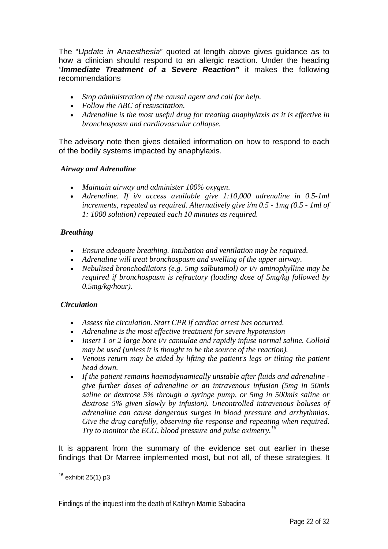The "*Update in Anaesthesia*" quoted at length above gives guidance as to how a clinician should respond to an allergic reaction. Under the heading *"Immediate Treatment of a Severe Reaction"* it makes the following recommendations

- *Stop administration of the causal agent and call for help.*
- *Follow the ABC of resuscitation.*
- *Adrenaline is the most useful drug for treating anaphylaxis as it is effective in bronchospasm and cardiovascular collapse.*

The advisory note then gives detailed information on how to respond to each of the bodily systems impacted by anaphylaxis.

#### *Airway and Adrenaline*

- *Maintain airway and administer 100% oxygen*.
- *Adrenaline. If i/v access available give 1:10,000 adrenaline in 0.5-1ml increments, repeated as required. Alternatively give i/m 0.5 - 1mg (0.5 - 1ml of 1: 1000 solution) repeated each 10 minutes as required.*

#### *Breathing*

- *Ensure adequate breathing. Intubation and ventilation may be required.*
- *Adrenaline will treat bronchospasm and swelling of the upper airway.*
- *Nebulised bronchodilators (e.g. 5mg salbutamol) or i/v aminophylline may be required if bronchospasm is refractory (loading dose of 5mg/kg followed by 0.5mg/kg/hour).*

#### *Circulation*

- *Assess the circulation. Start CPR if cardiac arrest has occurred.*
- *Adrenaline is the most effective treatment for severe hypotension*
- *Insert 1 or 2 large bore i/v cannulae and rapidly infuse normal saline. Colloid may be used (unless it is thought to be the source of the reaction).*
- *Venous return may be aided by lifting the patient's legs or tilting the patient head down.*
- *If the patient remains haemodynamically unstable after fluids and adrenaline give further doses of adrenaline or an intravenous infusion (5mg in 50mls saline or dextrose 5% through a syringe pump, or 5mg in 500mls saline or dextrose 5% given slowly by infusion). Uncontrolled intravenous boluses of adrenaline can cause dangerous surges in blood pressure and arrhythmias. Give the drug carefully, observing the response and repeating when required. Try to monitor the ECG, blood pressure and pulse oximetry.16*

It is apparent from the summary of the evidence set out earlier in these findings that Dr Marree implemented most, but not all, of these strategies. It

 $\overline{a}$  $16$  exhibit 25(1) p3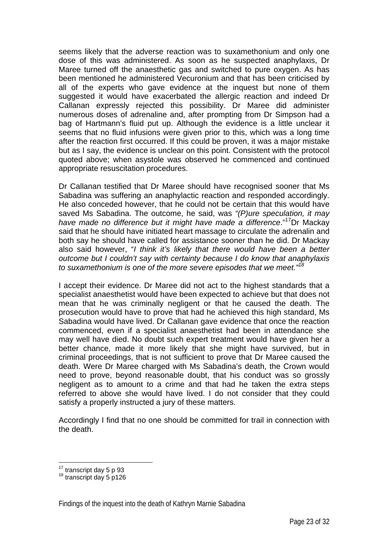seems likely that the adverse reaction was to suxamethonium and only one dose of this was administered. As soon as he suspected anaphylaxis, Dr Maree turned off the anaesthetic gas and switched to pure oxygen. As has been mentioned he administered Vecuronium and that has been criticised by all of the experts who gave evidence at the inquest but none of them suggested it would have exacerbated the allergic reaction and indeed Dr Callanan expressly rejected this possibility. Dr Maree did administer numerous doses of adrenaline and, after prompting from Dr Simpson had a bag of Hartmann's fluid put up. Although the evidence is a little unclear it seems that no fluid infusions were given prior to this, which was a long time after the reaction first occurred. If this could be proven, it was a major mistake but as I say, the evidence is unclear on this point. Consistent with the protocol quoted above; when asystole was observed he commenced and continued appropriate resuscitation procedures.

Dr Callanan testified that Dr Maree should have recognised sooner that Ms Sabadina was suffering an anaphylactic reaction and responded accordingly. He also conceded however, that he could not be certain that this would have saved Ms Sabadina. The outcome, he said, was *"(P)ure speculation, it may have made no difference but it might have made a difference*."17Dr Mackay said that he should have initiated heart massage to circulate the adrenalin and both say he should have called for assistance sooner than he did. Dr Mackay also said however, "*I think it's likely that there would have been a better outcome but I couldn't say with certainty because I do know that anaphylaxis to suxamethonium is one of the more severe episodes that we meet."18*

I accept their evidence. Dr Maree did not act to the highest standards that a specialist anaesthetist would have been expected to achieve but that does not mean that he was criminally negligent or that he caused the death. The prosecution would have to prove that had he achieved this high standard, Ms Sabadina would have lived. Dr Callanan gave evidence that once the reaction commenced, even if a specialist anaesthetist had been in attendance she may well have died. No doubt such expert treatment would have given her a better chance, made it more likely that she might have survived, but in criminal proceedings, that is not sufficient to prove that Dr Maree caused the death. Were Dr Maree charged with Ms Sabadina's death, the Crown would need to prove, beyond reasonable doubt, that his conduct was so grossly negligent as to amount to a crime and that had he taken the extra steps referred to above she would have lived. I do not consider that they could satisfy a properly instructed a jury of these matters.

Accordingly I find that no one should be committed for trail in connection with the death.

 $\overline{a}$ 

 $^{17}$  transcript day 5 p 93<br> $^{18}$  transcript day 5 p126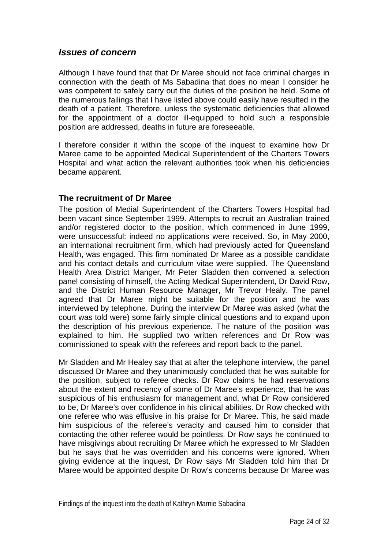### *Issues of concern*

Although I have found that that Dr Maree should not face criminal charges in connection with the death of Ms Sabadina that does no mean I consider he was competent to safely carry out the duties of the position he held. Some of the numerous failings that I have listed above could easily have resulted in the death of a patient. Therefore, unless the systematic deficiencies that allowed for the appointment of a doctor ill-equipped to hold such a responsible position are addressed, deaths in future are foreseeable.

I therefore consider it within the scope of the inquest to examine how Dr Maree came to be appointed Medical Superintendent of the Charters Towers Hospital and what action the relevant authorities took when his deficiencies became apparent.

### **The recruitment of Dr Maree**

The position of Medial Superintendent of the Charters Towers Hospital had been vacant since September 1999. Attempts to recruit an Australian trained and/or registered doctor to the position, which commenced in June 1999, were unsuccessful: indeed no applications were received. So, in May 2000, an international recruitment firm, which had previously acted for Queensland Health, was engaged. This firm nominated Dr Maree as a possible candidate and his contact details and curriculum vitae were supplied. The Queensland Health Area District Manger, Mr Peter Sladden then convened a selection panel consisting of himself, the Acting Medical Superintendent, Dr David Row, and the District Human Resource Manager, Mr Trevor Healy. The panel agreed that Dr Maree might be suitable for the position and he was interviewed by telephone. During the interview Dr Maree was asked (what the court was told were) some fairly simple clinical questions and to expand upon the description of his previous experience. The nature of the position was explained to him. He supplied two written references and Dr Row was commissioned to speak with the referees and report back to the panel.

Mr Sladden and Mr Healey say that at after the telephone interview, the panel discussed Dr Maree and they unanimously concluded that he was suitable for the position, subject to referee checks. Dr Row claims he had reservations about the extent and recency of some of Dr Maree's experience, that he was suspicious of his enthusiasm for management and, what Dr Row considered to be, Dr Maree's over confidence in his clinical abilities. Dr Row checked with one referee who was effusive in his praise for Dr Maree. This, he said made him suspicious of the referee's veracity and caused him to consider that contacting the other referee would be pointless. Dr Row says he continued to have misgivings about recruiting Dr Maree which he expressed to Mr Sladden but he says that he was overridden and his concerns were ignored. When giving evidence at the inquest, Dr Row says Mr Sladden told him that Dr Maree would be appointed despite Dr Row's concerns because Dr Maree was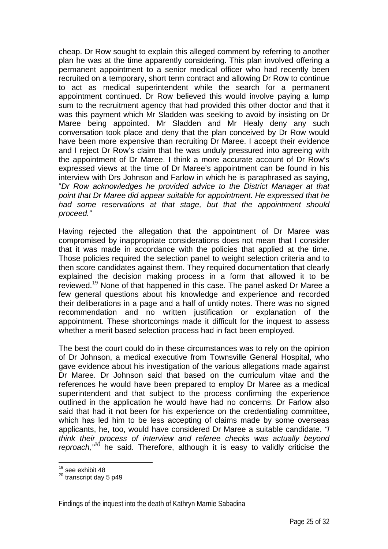cheap. Dr Row sought to explain this alleged comment by referring to another plan he was at the time apparently considering. This plan involved offering a permanent appointment to a senior medical officer who had recently been recruited on a temporary, short term contract and allowing Dr Row to continue to act as medical superintendent while the search for a permanent appointment continued. Dr Row believed this would involve paying a lump sum to the recruitment agency that had provided this other doctor and that it was this payment which Mr Sladden was seeking to avoid by insisting on Dr Maree being appointed. Mr Sladden and Mr Healy deny any such conversation took place and deny that the plan conceived by Dr Row would have been more expensive than recruiting Dr Maree. I accept their evidence and I reject Dr Row's claim that he was unduly pressured into agreeing with the appointment of Dr Maree. I think a more accurate account of Dr Row's expressed views at the time of Dr Maree's appointment can be found in his interview with Drs Johnson and Farlow in which he is paraphrased as saying, "*Dr Row acknowledges he provided advice to the District Manager at that point that Dr Maree did appear suitable for appointment. He expressed that he had some reservations at that stage, but that the appointment should proceed."*

Having rejected the allegation that the appointment of Dr Maree was compromised by inappropriate considerations does not mean that I consider that it was made in accordance with the policies that applied at the time. Those policies required the selection panel to weight selection criteria and to then score candidates against them. They required documentation that clearly explained the decision making process in a form that allowed it to be reviewed.<sup>19</sup> None of that happened in this case. The panel asked Dr Maree a few general questions about his knowledge and experience and recorded their deliberations in a page and a half of untidy notes. There was no signed recommendation and no written justification or explanation of the appointment. These shortcomings made it difficult for the inquest to assess whether a merit based selection process had in fact been employed.

The best the court could do in these circumstances was to rely on the opinion of Dr Johnson, a medical executive from Townsville General Hospital, who gave evidence about his investigation of the various allegations made against Dr Maree. Dr Johnson said that based on the curriculum vitae and the references he would have been prepared to employ Dr Maree as a medical superintendent and that subject to the process confirming the experience outlined in the application he would have had no concerns. Dr Farlow also said that had it not been for his experience on the credentialing committee, which has led him to be less accepting of claims made by some overseas applicants, he, too, would have considered Dr Maree a suitable candidate. *"I think their process of interview and referee checks was actually beyond reproach,"20* he said. Therefore, although it is easy to validly criticise the

 $\overline{a}$ 

<sup>&</sup>lt;sup>19</sup> see exhibit 48

<sup>&</sup>lt;sup>20</sup> transcript day 5 p49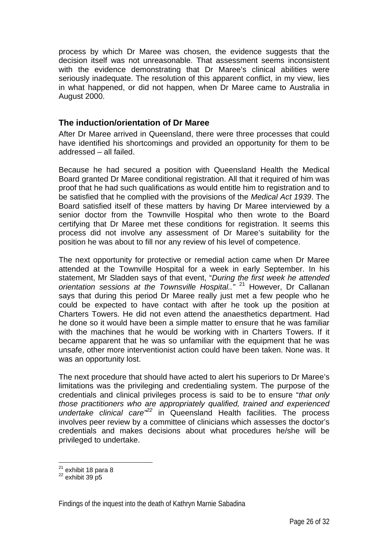process by which Dr Maree was chosen, the evidence suggests that the decision itself was not unreasonable. That assessment seems inconsistent with the evidence demonstrating that Dr Maree's clinical abilities were seriously inadequate. The resolution of this apparent conflict, in my view, lies in what happened, or did not happen, when Dr Maree came to Australia in August 2000.

#### **The induction/orientation of Dr Maree**

After Dr Maree arrived in Queensland, there were three processes that could have identified his shortcomings and provided an opportunity for them to be addressed – all failed.

Because he had secured a position with Queensland Health the Medical Board granted Dr Maree conditional registration. All that it required of him was proof that he had such qualifications as would entitle him to registration and to be satisfied that he complied with the provisions of the *Medical Act 1939*. The Board satisfied itself of these matters by having Dr Maree interviewed by a senior doctor from the Townville Hospital who then wrote to the Board certifying that Dr Maree met these conditions for registration. It seems this process did not involve any assessment of Dr Maree's suitability for the position he was about to fill nor any review of his level of competence.

The next opportunity for protective or remedial action came when Dr Maree attended at the Townville Hospital for a week in early September. In his statement, Mr Sladden says of that event, "*During the first week he attended orientation sessions at the Townsville Hospital.."* 21 However, Dr Callanan says that during this period Dr Maree really just met a few people who he could be expected to have contact with after he took up the position at Charters Towers. He did not even attend the anaesthetics department. Had he done so it would have been a simple matter to ensure that he was familiar with the machines that he would be working with in Charters Towers. If it became apparent that he was so unfamiliar with the equipment that he was unsafe, other more interventionist action could have been taken. None was. It was an opportunity lost.

The next procedure that should have acted to alert his superiors to Dr Maree's limitations was the privileging and credentialing system. The purpose of the credentials and clinical privileges process is said to be to ensure "*that only those practitioners who are appropriately qualified, trained and experienced undertake clinical care"<sup>22</sup>* in Queensland Health facilities. The process involves peer review by a committee of clinicians which assesses the doctor's credentials and makes decisions about what procedures he/she will be privileged to undertake.

 $\overline{a}$ 

<sup>&</sup>lt;sup>21</sup> exhibit 18 para 8<br><sup>22</sup> exhibit 39 p5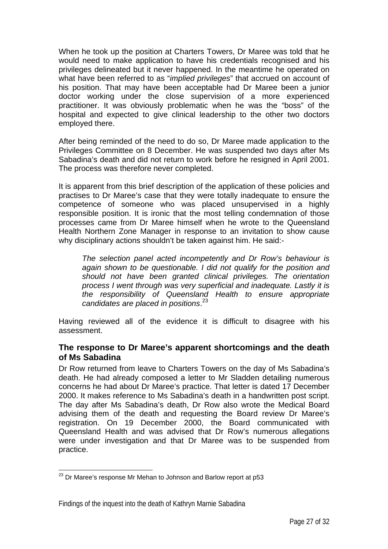When he took up the position at Charters Towers, Dr Maree was told that he would need to make application to have his credentials recognised and his privileges delineated but it never happened. In the meantime he operated on what have been referred to as "*implied privileges*" that accrued on account of his position. That may have been acceptable had Dr Maree been a junior doctor working under the close supervision of a more experienced practitioner. It was obviously problematic when he was the "boss" of the hospital and expected to give clinical leadership to the other two doctors employed there.

After being reminded of the need to do so, Dr Maree made application to the Privileges Committee on 8 December. He was suspended two days after Ms Sabadina's death and did not return to work before he resigned in April 2001. The process was therefore never completed.

It is apparent from this brief description of the application of these policies and practises to Dr Maree's case that they were totally inadequate to ensure the competence of someone who was placed unsupervised in a highly responsible position. It is ironic that the most telling condemnation of those processes came from Dr Maree himself when he wrote to the Queensland Health Northern Zone Manager in response to an invitation to show cause why disciplinary actions shouldn't be taken against him. He said:-

*The selection panel acted incompetently and Dr Row's behaviour is again shown to be questionable. I did not qualify for the position and should not have been granted clinical privileges. The orientation process I went through was very superficial and inadequate. Lastly it is the responsibility of Queensland Health to ensure appropriate candidates are placed in positions*. 23

Having reviewed all of the evidence it is difficult to disagree with his assessment.

#### **The response to Dr Maree's apparent shortcomings and the death of Ms Sabadina**

Dr Row returned from leave to Charters Towers on the day of Ms Sabadina's death. He had already composed a letter to Mr Sladden detailing numerous concerns he had about Dr Maree's practice. That letter is dated 17 December 2000. It makes reference to Ms Sabadina's death in a handwritten post script. The day after Ms Sabadina's death, Dr Row also wrote the Medical Board advising them of the death and requesting the Board review Dr Maree's registration. On 19 December 2000, the Board communicated with Queensland Health and was advised that Dr Row's numerous allegations were under investigation and that Dr Maree was to be suspended from practice.

 $\overline{a}$  $23$  Dr Maree's response Mr Mehan to Johnson and Barlow report at p53

Findings of the inquest into the death of Kathryn Marnie Sabadina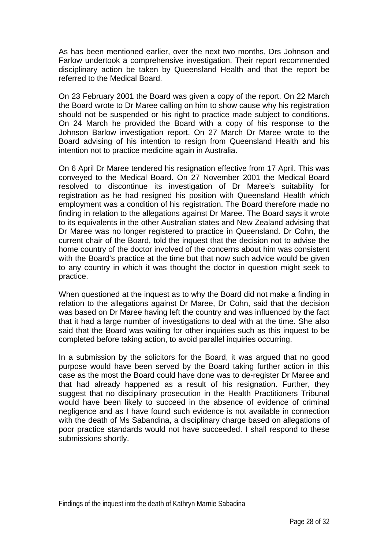As has been mentioned earlier, over the next two months, Drs Johnson and Farlow undertook a comprehensive investigation. Their report recommended disciplinary action be taken by Queensland Health and that the report be referred to the Medical Board.

On 23 February 2001 the Board was given a copy of the report. On 22 March the Board wrote to Dr Maree calling on him to show cause why his registration should not be suspended or his right to practice made subject to conditions. On 24 March he provided the Board with a copy of his response to the Johnson Barlow investigation report. On 27 March Dr Maree wrote to the Board advising of his intention to resign from Queensland Health and his intention not to practice medicine again in Australia.

On 6 April Dr Maree tendered his resignation effective from 17 April. This was conveyed to the Medical Board. On 27 November 2001 the Medical Board resolved to discontinue its investigation of Dr Maree's suitability for registration as he had resigned his position with Queensland Health which employment was a condition of his registration. The Board therefore made no finding in relation to the allegations against Dr Maree. The Board says it wrote to its equivalents in the other Australian states and New Zealand advising that Dr Maree was no longer registered to practice in Queensland. Dr Cohn, the current chair of the Board, told the inquest that the decision not to advise the home country of the doctor involved of the concerns about him was consistent with the Board's practice at the time but that now such advice would be given to any country in which it was thought the doctor in question might seek to practice.

When questioned at the inquest as to why the Board did not make a finding in relation to the allegations against Dr Maree, Dr Cohn, said that the decision was based on Dr Maree having left the country and was influenced by the fact that it had a large number of investigations to deal with at the time. She also said that the Board was waiting for other inquiries such as this inquest to be completed before taking action, to avoid parallel inquiries occurring.

In a submission by the solicitors for the Board, it was argued that no good purpose would have been served by the Board taking further action in this case as the most the Board could have done was to de-register Dr Maree and that had already happened as a result of his resignation. Further, they suggest that no disciplinary prosecution in the Health Practitioners Tribunal would have been likely to succeed in the absence of evidence of criminal negligence and as I have found such evidence is not available in connection with the death of Ms Sabandina, a disciplinary charge based on allegations of poor practice standards would not have succeeded. I shall respond to these submissions shortly.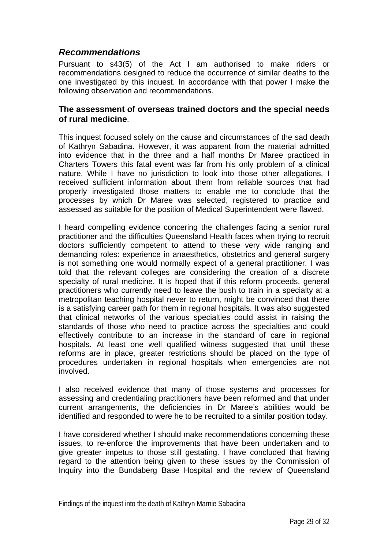## *Recommendations*

Pursuant to s43(5) of the Act I am authorised to make riders or recommendations designed to reduce the occurrence of similar deaths to the one investigated by this inquest. In accordance with that power I make the following observation and recommendations.

#### **The assessment of overseas trained doctors and the special needs of rural medicine**.

This inquest focused solely on the cause and circumstances of the sad death of Kathryn Sabadina. However, it was apparent from the material admitted into evidence that in the three and a half months Dr Maree practiced in Charters Towers this fatal event was far from his only problem of a clinical nature. While I have no jurisdiction to look into those other allegations, I received sufficient information about them from reliable sources that had properly investigated those matters to enable me to conclude that the processes by which Dr Maree was selected, registered to practice and assessed as suitable for the position of Medical Superintendent were flawed.

I heard compelling evidence concering the challenges facing a senior rural practitioner and the difficulties Queensland Health faces when trying to recruit doctors sufficiently competent to attend to these very wide ranging and demanding roles: experience in anaesthetics, obstetrics and general surgery is not something one would normally expect of a general practitioner. I was told that the relevant colleges are considering the creation of a discrete specialty of rural medicine. It is hoped that if this reform proceeds, general practitioners who currently need to leave the bush to train in a specialty at a metropolitan teaching hospital never to return, might be convinced that there is a satisfying career path for them in regional hospitals. It was also suggested that clinical networks of the various specialties could assist in raising the standards of those who need to practice across the specialties and could effectively contribute to an increase in the standard of care in regional hospitals. At least one well qualified witness suggested that until these reforms are in place, greater restrictions should be placed on the type of procedures undertaken in regional hospitals when emergencies are not involved.

I also received evidence that many of those systems and processes for assessing and credentialing practitioners have been reformed and that under current arrangements, the deficiencies in Dr Maree's abilities would be identified and responded to were he to be recruited to a similar position today.

I have considered whether I should make recommendations concerning these issues, to re-enforce the improvements that have been undertaken and to give greater impetus to those still gestating. I have concluded that having regard to the attention being given to these issues by the Commission of Inquiry into the Bundaberg Base Hospital and the review of Queensland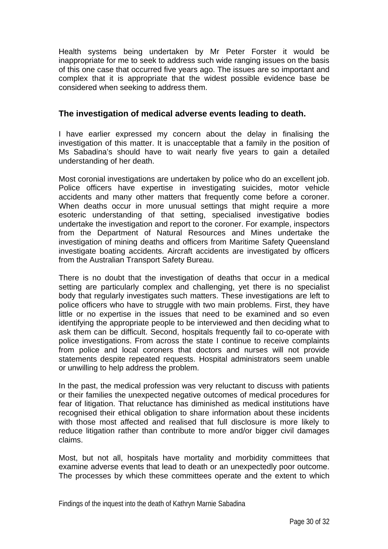Health systems being undertaken by Mr Peter Forster it would be inappropriate for me to seek to address such wide ranging issues on the basis of this one case that occurred five years ago. The issues are so important and complex that it is appropriate that the widest possible evidence base be considered when seeking to address them.

#### **The investigation of medical adverse events leading to death.**

I have earlier expressed my concern about the delay in finalising the investigation of this matter. It is unacceptable that a family in the position of Ms Sabadina's should have to wait nearly five years to gain a detailed understanding of her death.

Most coronial investigations are undertaken by police who do an excellent job. Police officers have expertise in investigating suicides, motor vehicle accidents and many other matters that frequently come before a coroner. When deaths occur in more unusual settings that might require a more esoteric understanding of that setting, specialised investigative bodies undertake the investigation and report to the coroner. For example, inspectors from the Department of Natural Resources and Mines undertake the investigation of mining deaths and officers from Maritime Safety Queensland investigate boating accidents. Aircraft accidents are investigated by officers from the Australian Transport Safety Bureau.

There is no doubt that the investigation of deaths that occur in a medical setting are particularly complex and challenging, yet there is no specialist body that regularly investigates such matters. These investigations are left to police officers who have to struggle with two main problems. First, they have little or no expertise in the issues that need to be examined and so even identifying the appropriate people to be interviewed and then deciding what to ask them can be difficult. Second, hospitals frequently fail to co-operate with police investigations. From across the state I continue to receive complaints from police and local coroners that doctors and nurses will not provide statements despite repeated requests. Hospital administrators seem unable or unwilling to help address the problem.

In the past, the medical profession was very reluctant to discuss with patients or their families the unexpected negative outcomes of medical procedures for fear of litigation. That reluctance has diminished as medical institutions have recognised their ethical obligation to share information about these incidents with those most affected and realised that full disclosure is more likely to reduce litigation rather than contribute to more and/or bigger civil damages claims.

Most, but not all, hospitals have mortality and morbidity committees that examine adverse events that lead to death or an unexpectedly poor outcome. The processes by which these committees operate and the extent to which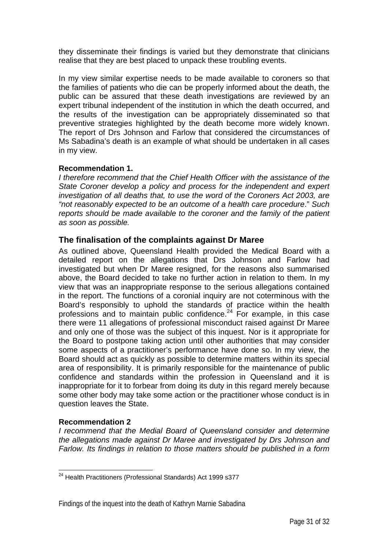they disseminate their findings is varied but they demonstrate that clinicians realise that they are best placed to unpack these troubling events.

In my view similar expertise needs to be made available to coroners so that the families of patients who die can be properly informed about the death, the public can be assured that these death investigations are reviewed by an expert tribunal independent of the institution in which the death occurred, and the results of the investigation can be appropriately disseminated so that preventive strategies highlighted by the death become more widely known. The report of Drs Johnson and Farlow that considered the circumstances of Ms Sabadina's death is an example of what should be undertaken in all cases in my view.

#### **Recommendation 1.**

*I therefore recommend that the Chief Health Officer with the assistance of the State Coroner develop a policy and process for the independent and expert investigation of all deaths that, to use the word of the Coroners Act 2003, are "not reasonably expected to be an outcome of a health care procedure*." *Such reports should be made available to the coroner and the family of the patient as soon as possible.* 

#### **The finalisation of the complaints against Dr Maree**

As outlined above, Queensland Health provided the Medical Board with a detailed report on the allegations that Drs Johnson and Farlow had investigated but when Dr Maree resigned, for the reasons also summarised above, the Board decided to take no further action in relation to them. In my view that was an inappropriate response to the serious allegations contained in the report. The functions of a coronial inquiry are not coterminous with the Board's responsibly to uphold the standards of practice within the health professions and to maintain public confidence.24 For example, in this case there were 11 allegations of professional misconduct raised against Dr Maree and only one of those was the subject of this inquest. Nor is it appropriate for the Board to postpone taking action until other authorities that may consider some aspects of a practitioner's performance have done so. In my view, the Board should act as quickly as possible to determine matters within its special area of responsibility. It is primarily responsible for the maintenance of public confidence and standards within the profession in Queensland and it is inappropriate for it to forbear from doing its duty in this regard merely because some other body may take some action or the practitioner whose conduct is in question leaves the State.

#### **Recommendation 2**

*I recommend that the Medial Board of Queensland consider and determine the allegations made against Dr Maree and investigated by Drs Johnson and Farlow. Its findings in relation to those matters should be published in a form* 

 $\overline{a}$ <sup>24</sup> Health Practitioners (Professional Standards) Act 1999 s377

Findings of the inquest into the death of Kathryn Marnie Sabadina